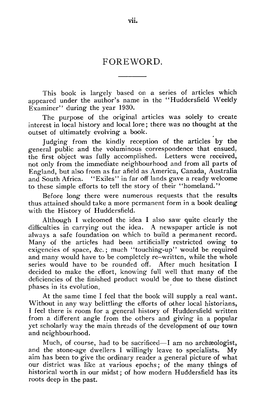## FOREWORD.

This book is largely based on a series of articles which appeared under the author's name in the "Huddersfield Weekly Examiner" during the year 1930.

The purpose of the original articles was solely to create interest in local history and local lore; there was no thought at the outset of ultimately evolving a book.

Judging from the kindly reception of the articles by the general public and the voluminous correspondence that ensued, the first object was fully accomplished. Letters were received, not only from the immediate neighbourhood and from all parts of England, but also from as far afield as America, Canada, Australia and South Africa. "Exiles" in far off lands gave a ready welcome to these simple efforts to tell the story of their "homeland."

Before long there were numerous requests that the results thus attained should take a more permanent form in a book dealing with the History of Huddersfield.

Although I welcomed the idea I also saw quite clearly the difficulties in carrying out the idea. A newspaper article is not always a safe foundation on which to build a permanent record. Many of the articles had been artificially restricted owing to exigencies of space, &c.; much "touching-up" would be required and many would have to be completely re–written, while the whole series would have to be rounded off. After much hesitation I decided to make the effort, knowing full well that many of the deficiencies of the finished product would be due to these distinct phases in its evolution.

At the same time I feel that the book will supply a real want. Without in any way belittling the efforts of other local historians, I feel there is room for a general history of Huddersfield written from a different angle from the others and giving in a popular yet scholarly way the main threads of the development of our town and neighbourhood.

Much, of course, had to be sacrificed—I am no archæologist, and the stone-age dwellers I willingly leave to specialists. My aim has been to give the ordinary reader a general picture of what our district was like at various epochs ; of the many things of historical worth in our midst ; of how modern Huddersfield has its roots deep in the past.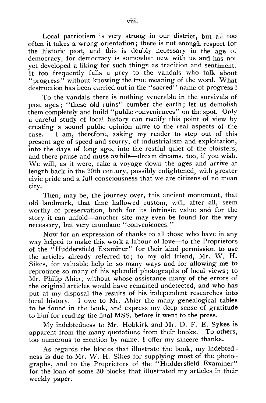Local patriotism is very strong in our district, but all too often it takes a wrong orientation ; there is not enough respect for the historic past, and this is doubly necessary in the age of democracy, for democracy is somewhat new with us and has not yet developed a liking for such things as tradition and sentiment. It too frequently falls a prey to the vandals who talk about "progress" without knowing the true meaning of the word. What destruction has been carried out in the "sacred" name of progress !

To the vandals there is nothing venerable in the survivals of past ages; "these old ruins" cumber the earth; let us demolish them completely and build "public conveniences" on the spot. Only a careful study of local history can rectify this point of view by creating a sound public opinion alive to the real aspects of the case. I am, therefore, asking my reader to step out of this present age of speed and scurry, of industrialism and exploitation, into the days of long ago, into the restful quiet of the cloisters, and there pause and muse awhile—dream dreams, too, if you wish. We will, as it were, take a voyage down the ages and arrive at length back in the 20th century, possibly enlightened, with greater civic pride and a full consciousness that we are citizens of no mean city.

Then, may be, the journey over, this ancient monument, that old landmark, that time hallowed custom, will, after all, seem worthy of preservation, both for its intrinsic value and for the story it can unfold—another site may even be found for the very necessary, but very mundane "conveniences."

Now for an expression of thanks to all those who have in any way helped to make this work a labour of love—to the Proprietors of the "Huddersfield Examiner" for their kind permission to use the articles already referred to; to my old friend, Mr. W. H. Sikes, for valuable help in so many ways and for allowing me to reproduce so many of his splendid photographs of local views; to Mr. Philip Ahier, without whose assistance many of the errors of the original articles would have remained undetected, and who has put at my disposal the results of his independent researches into local history. I owe to Mr. Ahier the many genealogical tables to be found in the book, and express my deep sense of gratitude to him for reading the final MSS. before it went to the press.

My indebtedness to Mr. Hobkirk and Mr. D. F. E. Sykes is apparent from the many quotations from their books. To others, too numerous to mention by name, I offer my sincere thanks.

As regards the blocks that illustrate the book, my indebtedness is due to Mr. W. H. Sikes for supplying most of the photographs, and to the Proprietors of the "Huddersfield Examiner" for the loan of some 30 blocks that illustrated my articles in their weekly paper.